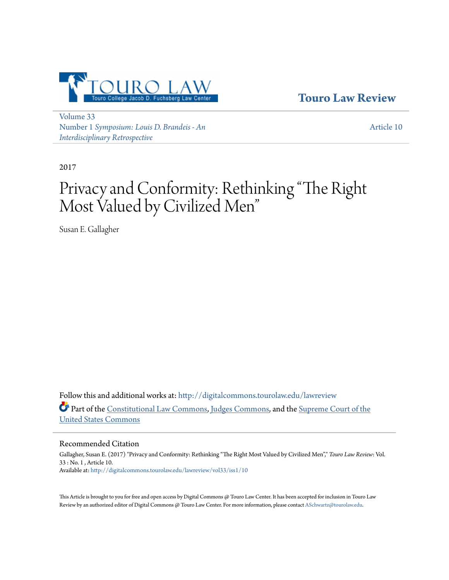

**[Touro Law Review](http://digitalcommons.tourolaw.edu/lawreview?utm_source=digitalcommons.tourolaw.edu%2Flawreview%2Fvol33%2Fiss1%2F10&utm_medium=PDF&utm_campaign=PDFCoverPages)**

[Volume 33](http://digitalcommons.tourolaw.edu/lawreview/vol33?utm_source=digitalcommons.tourolaw.edu%2Flawreview%2Fvol33%2Fiss1%2F10&utm_medium=PDF&utm_campaign=PDFCoverPages) Number 1 *[Symposium: Louis D. Brandeis - An](http://digitalcommons.tourolaw.edu/lawreview/vol33/iss1?utm_source=digitalcommons.tourolaw.edu%2Flawreview%2Fvol33%2Fiss1%2F10&utm_medium=PDF&utm_campaign=PDFCoverPages) [Interdisciplinary Retrospective](http://digitalcommons.tourolaw.edu/lawreview/vol33/iss1?utm_source=digitalcommons.tourolaw.edu%2Flawreview%2Fvol33%2Fiss1%2F10&utm_medium=PDF&utm_campaign=PDFCoverPages)*

[Article 10](http://digitalcommons.tourolaw.edu/lawreview/vol33/iss1/10?utm_source=digitalcommons.tourolaw.edu%2Flawreview%2Fvol33%2Fiss1%2F10&utm_medium=PDF&utm_campaign=PDFCoverPages)

2017

# Privacy and Conformity: Rethinking "The Right Most Valued by Civilized Men "

Susan E. Gallagher

Follow this and additional works at: [http://digitalcommons.tourolaw.edu/lawreview](http://digitalcommons.tourolaw.edu/lawreview?utm_source=digitalcommons.tourolaw.edu%2Flawreview%2Fvol33%2Fiss1%2F10&utm_medium=PDF&utm_campaign=PDFCoverPages) Part of the [Constitutional Law Commons,](http://network.bepress.com/hgg/discipline/589?utm_source=digitalcommons.tourolaw.edu%2Flawreview%2Fvol33%2Fiss1%2F10&utm_medium=PDF&utm_campaign=PDFCoverPages) [Judges Commons](http://network.bepress.com/hgg/discipline/849?utm_source=digitalcommons.tourolaw.edu%2Flawreview%2Fvol33%2Fiss1%2F10&utm_medium=PDF&utm_campaign=PDFCoverPages), and the [Supreme Court of the](http://network.bepress.com/hgg/discipline/1350?utm_source=digitalcommons.tourolaw.edu%2Flawreview%2Fvol33%2Fiss1%2F10&utm_medium=PDF&utm_campaign=PDFCoverPages) [United States Commons](http://network.bepress.com/hgg/discipline/1350?utm_source=digitalcommons.tourolaw.edu%2Flawreview%2Fvol33%2Fiss1%2F10&utm_medium=PDF&utm_campaign=PDFCoverPages)

Recommended Citation

Gallagher, Susan E. (2017) "Privacy and Conformity: Rethinking "The Right Most Valued by Civilized Men"," *Touro Law Review*: Vol. 33 : No. 1 , Article 10. Available at: [http://digitalcommons.tourolaw.edu/lawreview/vol33/iss1/10](http://digitalcommons.tourolaw.edu/lawreview/vol33/iss1/10?utm_source=digitalcommons.tourolaw.edu%2Flawreview%2Fvol33%2Fiss1%2F10&utm_medium=PDF&utm_campaign=PDFCoverPages)

This Article is brought to you for free and open access by Digital Commons @ Touro Law Center. It has been accepted for inclusion in Touro Law Review by an authorized editor of Digital Commons @ Touro Law Center. For more information, please contact [ASchwartz@tourolaw.edu](mailto:ASchwartz@tourolaw.edu).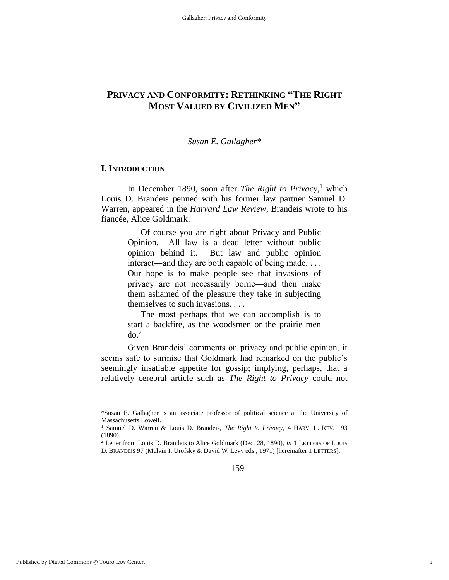# **PRIVACY AND CONFORMITY: RETHINKING "THE RIGHT MOST VALUED BY CIVILIZED MEN"**

#### *Susan E. Gallagher\**

# **I. INTRODUCTION**

In December 1890, soon after *The Right to Privacy*, <sup>1</sup> which Louis D. Brandeis penned with his former law partner Samuel D. Warren, appeared in the *Harvard Law Review*, Brandeis wrote to his fiancée, Alice Goldmark:

> Of course you are right about Privacy and Public Opinion. All law is a dead letter without public opinion behind it. But law and public opinion interact—and they are both capable of being made. . . . Our hope is to make people see that invasions of privacy are not necessarily borne―and then make them ashamed of the pleasure they take in subjecting themselves to such invasions. . . .

> The most perhaps that we can accomplish is to start a backfire, as the woodsmen or the prairie men  $do.<sup>2</sup>$

Given Brandeis' comments on privacy and public opinion, it seems safe to surmise that Goldmark had remarked on the public's seemingly insatiable appetite for gossip; implying, perhaps, that a relatively cerebral article such as *The Right to Privacy* could not

1

<sup>\*</sup>Susan E. Gallagher is an associate professor of political science at the University of Massachusetts Lowell.

<sup>1</sup> Samuel D. Warren & Louis D. Brandeis, *The Right to Privacy*, 4 HARV. L. REV. 193 (1890).

<sup>2</sup> Letter from Louis D. Brandeis to Alice Goldmark (Dec. 28, 1890), *in* 1 LETTERS OF LOUIS D. BRANDEIS 97 (Melvin I. Urofsky & David W. Levy eds., 1971) [hereinafter 1 LETTERS].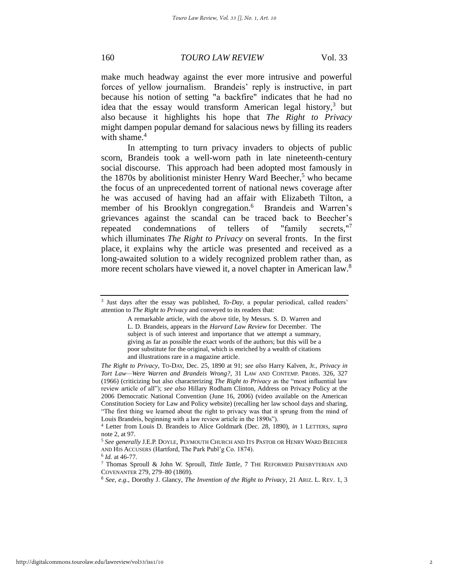make much headway against the ever more intrusive and powerful forces of yellow journalism. Brandeis' reply is instructive, in part because his notion of setting "a backfire" indicates that he had no idea that the essay would transform American legal history, $3$  but also because it highlights his hope that *The Right to Privacy* might dampen popular demand for salacious news by filling its readers with shame. $4$ 

In attempting to turn privacy invaders to objects of public scorn, Brandeis took a well-worn path in late nineteenth-century social discourse. This approach had been adopted most famously in the 1870s by abolitionist minister Henry Ward Beecher,<sup>5</sup> who became the focus of an unprecedented torrent of national news coverage after he was accused of having had an affair with Elizabeth Tilton, a member of his Brooklyn congregation.<sup>6</sup> Brandeis and Warren's grievances against the scandal can be traced back to Beecher's repeated condemnations of tellers of "family secrets. $"^\mathsf{T}$ which illuminates *The Right to Privacy* on several fronts. In the first place, it explains why the article was presented and received as a long-awaited solution to a widely recognized problem rather than, as more recent scholars have viewed it, a novel chapter in American law.<sup>8</sup>

<sup>3</sup> Just days after the essay was published, *To-Day*, a popular periodical, called readers' attention to *The Right to Privacy* and conveyed to its readers that:

A remarkable article, with the above title, by Messrs. S. D. Warren and L. D. Brandeis, appears in the *Harvard Law Review* for December. The subject is of such interest and importance that we attempt a summary, giving as far as possible the exact words of the authors; but this will be a poor substitute for the original, which is enriched by a wealth of citations and illustrations rare in a magazine article.

*The Right to Privacy*, TO-DAY, Dec. 25, 1890 at 91; *see also* Harry Kalven, Jr., *Privacy in Tort Law—Were Warren and Brandeis Wrong?*, 31 LAW AND CONTEMP. PROBS. 326, 327 (1966) (criticizing but also characterizing *The Right to Privacy* as the "most influential law review article of all"); *see also* Hillary Rodham Clinton, Address on Privacy Policy at the 2006 Democratic National Convention (June 16, 2006) (video available on the American Constitution Society for Law and Policy website) (recalling her law school days and sharing, "The first thing we learned about the right to privacy was that it sprung from the mind of Louis Brandeis, beginning with a law review article in the 1890s").

<sup>4</sup> Letter from Louis D. Brandeis to Alice Goldmark (Dec. 28, 1890), *in* 1 LETTERS, *supra* note 2, at 97.

<sup>5</sup> *See generally* J.E.P. DOYLE, PLYMOUTH CHURCH AND ITS PASTOR OR HENRY WARD BEECHER AND HIS ACCUSERS (Hartford, The Park Publ'g Co. 1874).

<sup>6</sup> *Id.* at 46-77.

<sup>7</sup> Thomas Sproull & John W. Sproull, *Tittle Tattle*, 7 THE REFORMED PRESBYTERIAN AND COVENANTER 279, 279–80 (1869).

<sup>8</sup> *See, e.g.*, Dorothy J. Glancy, *The Invention of the Right to Privacy*, 21 ARIZ. L. REV. 1, 3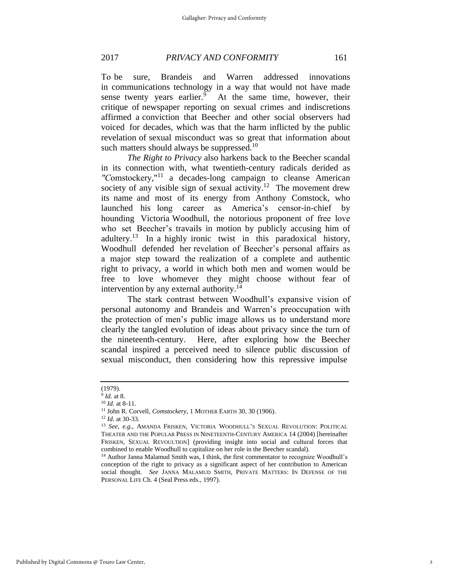To be sure, Brandeis and Warren addressed innovations in communications technology in a way that would not have made sense twenty years earlier.<sup>9</sup> At the same time, however, their critique of newspaper reporting on sexual crimes and indiscretions affirmed a conviction that Beecher and other social observers had voiced for decades, which was that the harm inflicted by the public revelation of sexual misconduct was so great that information about such matters should always be suppressed.<sup>10</sup>

*The Right to Privacy* also harkens back to the Beecher scandal in its connection with, what twentieth-century radicals derided as *"C*omstockery," <sup>11</sup> a decades-long campaign to cleanse American society of any visible sign of sexual activity.<sup>12</sup> The movement drew its name and most of its energy from Anthony Comstock, who launched his long career as America's censor-in-chief by hounding Victoria Woodhull, the notorious proponent of free love who set Beecher's travails in motion by publicly accusing him of adultery.<sup>13</sup> In a highly ironic twist in this paradoxical history, Woodhull defended her revelation of Beecher's personal affairs as a major step toward the realization of a complete and authentic right to privacy, a world in which both men and women would be free to love whomever they might choose without fear of intervention by any external authority.<sup>14</sup>

The stark contrast between Woodhull's expansive vision of personal autonomy and Brandeis and Warren's preoccupation with the protection of men's public image allows us to understand more clearly the tangled evolution of ideas about privacy since the turn of the nineteenth-century. Here, after exploring how the Beecher scandal inspired a perceived need to silence public discussion of sexual misconduct, then considering how this repressive impulse

<sup>(1979).</sup>

<sup>9</sup> *Id.* at 8.

<sup>10</sup> *Id.* at 8-11.

<sup>11</sup> John R. Corvell, *Comstockery*, 1 MOTHER EARTH 30, 30 (1906).

<sup>12</sup> *Id.* at 30-33.

<sup>13</sup> *See, e.g.*, AMANDA FRISKEN, VICTORIA WOODHULL'S SEXUAL REVOLUTION: POLITICAL THEATER AND THE POPULAR PRESS IN NINETEENTH-CENTURY AMERICA 14 (2004) [hereinafter FRISKEN, SEXUAL REVOULTION] (providing insight into social and cultural forces that combined to enable Woodhull to capitalize on her role in the Beecher scandal).

<sup>&</sup>lt;sup>14</sup> Author Janna Malamud Smith was, I think, the first commentator to recognize Woodhull's conception of the right to privacy as a significant aspect of her contribution to American social thought. *See* JANNA MALAMUD SMITH, PRIVATE MATTERS: IN DEFENSE OF THE PERSONAL LIFE Ch. 4 (Seal Press eds., 1997).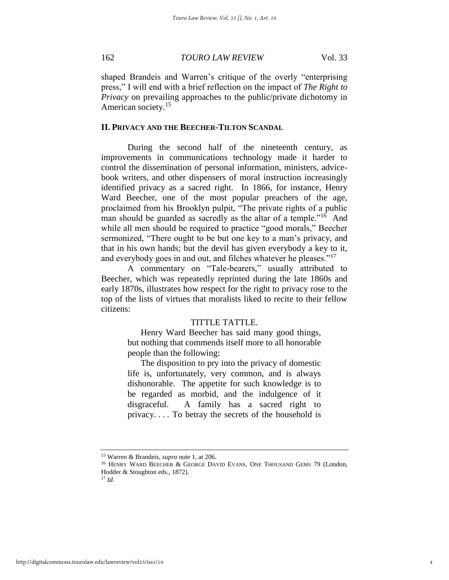shaped Brandeis and Warren's critique of the overly "enterprising press," I will end with a brief reflection on the impact of *The Right to Privacy* on prevailing approaches to the public/private dichotomy in American society.<sup>15</sup>

#### **II. PRIVACY AND THE BEECHER-TILTON SCANDAL**

During the second half of the nineteenth century, as improvements in communications technology made it harder to control the dissemination of personal information, ministers, advicebook writers, and other dispensers of moral instruction increasingly identified privacy as a sacred right. In 1866, for instance, Henry Ward Beecher, one of the most popular preachers of the age, proclaimed from his Brooklyn pulpit, "The private rights of a public man should be guarded as sacredly as the altar of a temple."<sup>16</sup> And while all men should be required to practice "good morals," Beecher sermonized, "There ought to be but one key to a man's privacy, and that in his own hands; but the devil has given everybody a key to it, and everybody goes in and out, and filches whatever he pleases."<sup>17</sup>

A commentary on "Tale-bearers," usually attributed to Beecher, which was repeatedly reprinted during the late 1860s and early 1870s, illustrates how respect for the right to privacy rose to the top of the lists of virtues that moralists liked to recite to their fellow citizens:

# TITTLE TATTLE.

 Henry Ward Beecher has said many good things, but nothing that commends itself more to all honorable people than the following:

 The disposition to pry into the privacy of domestic life is, unfortunately, very common, and is always dishonorable. The appetite for such knowledge is to be regarded as morbid, and the indulgence of it disgraceful. A family has a sacred right to privacy. . . . To betray the secrets of the household is

<sup>15</sup> Warren & Brandeis, *supra* note 1, at 206.

<sup>&</sup>lt;sup>16</sup> HENRY WARD BEECHER & GEORGE DAVID EVANS, ONE THOUSAND GEMS 79 (London, Hodder & Stoughton eds., 1872).

<sup>17</sup> *Id.*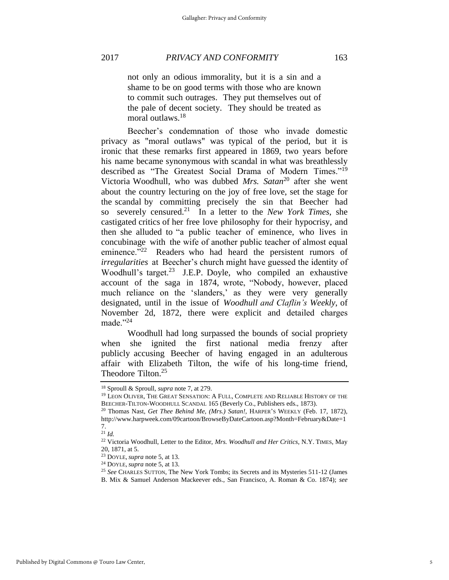not only an odious immorality, but it is a sin and a shame to be on good terms with those who are known to commit such outrages. They put themselves out of the pale of decent society. They should be treated as moral outlaws.<sup>18</sup>

Beecher's condemnation of those who invade domestic privacy as "moral outlaws" was typical of the period, but it is ironic that these remarks first appeared in 1869, two years before his name became synonymous with scandal in what was breathlessly described as "The Greatest Social Drama of Modern Times."<sup>19</sup> Victoria Woodhull, who was dubbed *Mrs. Satan*<sup>20</sup> after she went about the country lecturing on the joy of free love, set the stage for the scandal by committing precisely the sin that Beecher had so severely censured.<sup>21</sup> In a letter to the *New York Times*, she castigated critics of her free love philosophy for their hypocrisy, and then she alluded to "a public teacher of eminence, who lives in concubinage with the wife of another public teacher of almost equal eminence."<sup>22</sup> Readers who had heard the persistent rumors of *irregularities* at Beecher's church might have guessed the identity of Woodhull's target. $2^3$  J.E.P. Doyle, who compiled an exhaustive account of the saga in 1874, wrote, "Nobody, however, placed much reliance on the 'slanders,' as they were very generally designated, until in the issue of *Woodhull and Claflin's Weekly*, of November 2d, 1872, there were explicit and detailed charges made."<sup>24</sup>

Woodhull had long surpassed the bounds of social propriety when she ignited the first national media frenzy after publicly accusing Beecher of having engaged in an adulterous affair with Elizabeth Tilton, the wife of his long-time friend, Theodore Tilton.<sup>25</sup>

<sup>21</sup> *Id.*

<sup>18</sup> Sproull & Sproull, *supra* note 7, at 279.

<sup>19</sup> LEON OLIVER, THE GREAT SENSATION: A FULL, COMPLETE AND RELIABLE HISTORY OF THE BEECHER-TILTON-WOODHULL SCANDAL 165 (Beverly Co., Publishers eds., 1873).

<sup>20</sup> Thomas Nast, *Get Thee Behind Me, (Mrs.) Satan!*, HARPER'S WEEKLY (Feb. 17, 1872), http://www.harpweek.com/09cartoon/BrowseByDateCartoon.asp?Month=February&Date=1 7.

<sup>22</sup> Victoria Woodhull, Letter to the Editor, *Mrs. Woodhull and Her Critics*, N.Y. TIMES, May 20, 1871, at 5.

<sup>23</sup> DOYLE, *supra* note 5, at 13.

<sup>24</sup> DOYLE, *supra* note 5, at 13.

<sup>25</sup> *See* CHARLES SUTTON, The New York Tombs; its Secrets and its Mysteries 511-12 (James B. Mix & Samuel Anderson Mackeever eds., San Francisco, A. Roman & Co. 1874); *see*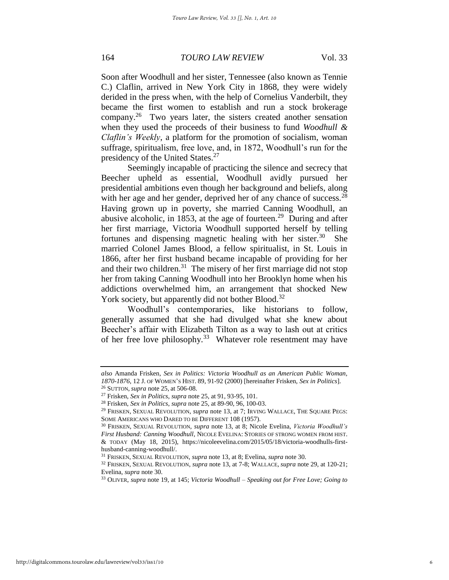Soon after Woodhull and her sister, Tennessee (also known as Tennie C.) Claflin, arrived in New York City in 1868, they were widely derided in the press when, with the help of Cornelius Vanderbilt, they became the first women to establish and run a stock brokerage company.<sup>26</sup> Two years later, the sisters created another sensation when they used the proceeds of their business to fund *Woodhull & Claflin's Weekly*, a platform for the promotion of socialism, woman suffrage, spiritualism, free love, and, in 1872, Woodhull's run for the presidency of the United States.<sup>27</sup>

Seemingly incapable of practicing the silence and secrecy that Beecher upheld as essential, Woodhull avidly pursued her presidential ambitions even though her background and beliefs, along with her age and her gender, deprived her of any chance of success.<sup>28</sup> Having grown up in poverty, she married Canning Woodhull, an abusive alcoholic, in 1853, at the age of fourteen.<sup>29</sup> During and after her first marriage, Victoria Woodhull supported herself by telling fortunes and dispensing magnetic healing with her sister.<sup>30</sup> She married Colonel James Blood, a fellow spiritualist, in St. Louis in 1866, after her first husband became incapable of providing for her and their two children.<sup>31</sup> The misery of her first marriage did not stop her from taking Canning Woodhull into her Brooklyn home when his addictions overwhelmed him, an arrangement that shocked New York society, but apparently did not bother Blood.<sup>32</sup>

Woodhull's contemporaries, like historians to follow, generally assumed that she had divulged what she knew about Beecher's affair with Elizabeth Tilton as a way to lash out at critics of her free love philosophy.<sup>33</sup> Whatever role resentment may have

*also* Amanda Frisken, *Sex in Politics: Victoria Woodhull as an American Public Woman, 1870-1876*, 12 J. OF WOMEN'S HIST. 89, 91-92 (2000) [hereinafter Frisken, *Sex in Politics*].

<sup>26</sup> SUTTON, *supra* note 25, at 506-08.

<sup>27</sup> Frisken, *Sex in Politics*, *supra* note 25, at 91, 93-95, 101.

<sup>28</sup> Frisken, *Sex in Politics*, *supra* note 25, at 89-90, 96, 100-03.

<sup>&</sup>lt;sup>29</sup> FRISKEN, SEXUAL REVOLUTION, *supra* note 13, at 7; IRVING WALLACE, THE SQUARE PEGS: SOME AMERICANS WHO DARED TO BE DIFFERENT 108 (1957).

<sup>30</sup> FRISKEN, SEXUAL REVOLUTION, *supra* note 13, at 8; Nicole Evelina, *Victoria Woodhull's First Husband: Canning Woodhull*, NICOLE EVELINA: STORIES OF STRONG WOMEN FROM HIST. & TODAY (May 18, 2015), https://nicoleevelina.com/2015/05/18/victoria-woodhulls-firsthusband-canning-woodhull/.

<sup>31</sup> FRISKEN, SEXUAL REVOLUTION, *supra* note 13, at 8; Evelina, *supra* note 30.

<sup>32</sup> FRISKEN, SEXUAL REVOLUTION, *supra* note 13, at 7-8; WALLACE, *supra* note 29, at 120-21; Evelina, *supra* note 30.

<sup>33</sup> OLIVER, *supra* note 19, at 145; *Victoria Woodhull – Speaking out for Free Love; Going to*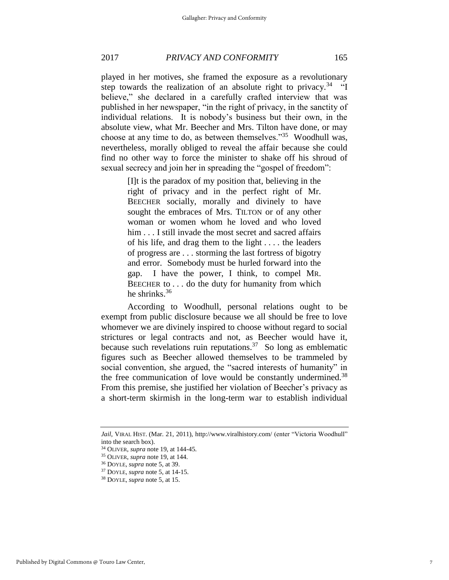played in her motives, she framed the exposure as a revolutionary step towards the realization of an absolute right to privacy.<sup>34</sup>  $\cdot$  "I believe," she declared in a carefully crafted interview that was published in her newspaper, "in the right of privacy, in the sanctity of individual relations. It is nobody's business but their own, in the absolute view, what Mr. Beecher and Mrs. Tilton have done, or may choose at any time to do, as between themselves."<sup>35</sup> Woodhull was, nevertheless, morally obliged to reveal the affair because she could find no other way to force the minister to shake off his shroud of sexual secrecy and join her in spreading the "gospel of freedom":

> [I]t is the paradox of my position that, believing in the right of privacy and in the perfect right of Mr. BEECHER socially, morally and divinely to have sought the embraces of Mrs. TILTON or of any other woman or women whom he loved and who loved him . . . I still invade the most secret and sacred affairs of his life, and drag them to the light . . . . the leaders of progress are . . . storming the last fortress of bigotry and error. Somebody must be hurled forward into the gap. I have the power, I think, to compel MR. BEECHER to . . . do the duty for humanity from which he shrinks. $36$

According to Woodhull, personal relations ought to be exempt from public disclosure because we all should be free to love whomever we are divinely inspired to choose without regard to social strictures or legal contracts and not, as Beecher would have it, because such revelations ruin reputations.<sup>37</sup> So long as emblematic figures such as Beecher allowed themselves to be trammeled by social convention, she argued, the "sacred interests of humanity" in the free communication of love would be constantly undermined.<sup>38</sup> From this premise, she justified her violation of Beecher's privacy as a short-term skirmish in the long-term war to establish individual

*Jail*, VIRAL HIST. (Mar. 21, 2011), http://www.viralhistory.com/ (enter "Victoria Woodhull" into the search box).

<sup>34</sup> OLIVER, *supra* note 19, at 144-45.

<sup>35</sup> OLIVER, *supra* note 19, at 144.

<sup>36</sup> DOYLE, *supra* note 5, at 39.

<sup>37</sup> DOYLE, *supra* note 5, at 14-15.

<sup>38</sup> DOYLE, *supra* note 5, at 15.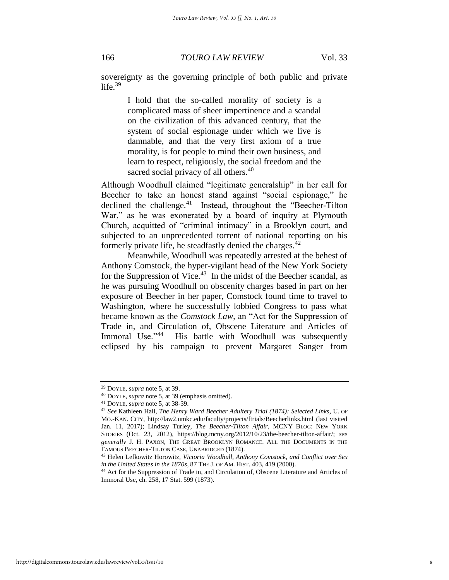sovereignty as the governing principle of both public and private life. $39$ 

> I hold that the so-called morality of society is a complicated mass of sheer impertinence and a scandal on the civilization of this advanced century, that the system of social espionage under which we live is damnable, and that the very first axiom of a true morality, is for people to mind their own business, and learn to respect, religiously, the social freedom and the sacred social privacy of all others.<sup>40</sup>

Although Woodhull claimed "legitimate generalship" in her call for Beecher to take an honest stand against "social espionage," he declined the challenge.<sup>41</sup> Instead, throughout the "Beecher-Tilton War," as he was exonerated by a board of inquiry at Plymouth Church, acquitted of "criminal intimacy" in a Brooklyn court, and subjected to an unprecedented torrent of national reporting on his formerly private life, he steadfastly denied the charges.<sup>42</sup>

Meanwhile, Woodhull was repeatedly arrested at the behest of Anthony Comstock, the hyper-vigilant head of the New York Society for the Suppression of Vice. $43$  In the midst of the Beecher scandal, as he was pursuing Woodhull on obscenity charges based in part on her exposure of Beecher in her paper, Comstock found time to travel to Washington, where he successfully lobbied Congress to pass what became known as the *Comstock Law*, an "Act for the Suppression of Trade in, and Circulation of, Obscene Literature and Articles of Immoral Use."44 His battle with Woodhull was subsequently eclipsed by his campaign to prevent Margaret Sanger from

<sup>39</sup> DOYLE, *supra* note 5, at 39.

<sup>40</sup> DOYLE, *supra* note 5, at 39 (emphasis omitted).

<sup>41</sup> DOYLE, *supra* note 5, at 38-39.

<sup>42</sup> *See* Kathleen Hall, *The Henry Ward Beecher Adultery Trial (1874): Selected Links*, U. OF MO.-KAN. CITY, http://law2.umkc.edu/faculty/projects/ftrials/Beecherlinks.html (last visited Jan. 11, 2017); Lindsay Turley, *The Beecher-Tilton Affair*, MCNY BLOG: NEW YORK STORIES (Oct. 23, 2012), https://blog.mcny.org/2012/10/23/the-beecher-tilton-affair/; *see generally* J. H. PAXON, THE GREAT BROOKLYN ROMANCE. ALL THE DOCUMENTS IN THE FAMOUS BEECHER-TILTON CASE, UNABRIDGED (1874).

<sup>43</sup> Helen Lefkowitz Horowitz, *Victoria Woodhull, Anthony Comstock, and Conflict over Sex in the United States in the 1870s*, 87 THE J. OF AM. HIST. 403, 419 (2000).

<sup>44</sup> Act for the Suppression of Trade in, and Circulation of, Obscene Literature and Articles of Immoral Use, ch. 258, 17 Stat. 599 (1873).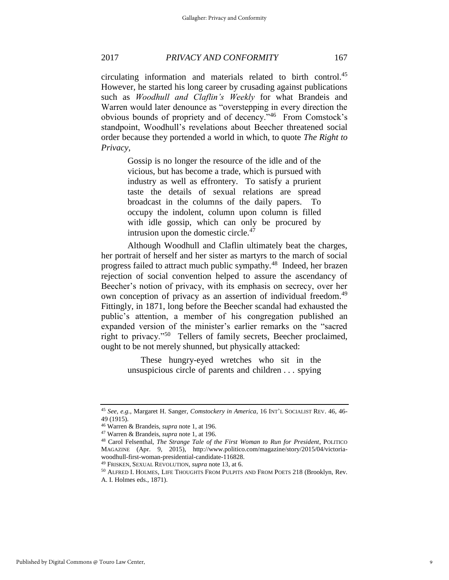circulating information and materials related to birth control.<sup>45</sup> However, he started his long career by crusading against publications such as *Woodhull and Claflin's Weekly* for what Brandeis and Warren would later denounce as "overstepping in every direction the obvious bounds of propriety and of decency."<sup>46</sup> From Comstock's standpoint, Woodhull's revelations about Beecher threatened social order because they portended a world in which, to quote *The Right to Privacy*,

> Gossip is no longer the resource of the idle and of the vicious, but has become a trade, which is pursued with industry as well as effrontery. To satisfy a prurient taste the details of sexual relations are spread broadcast in the columns of the daily papers. To occupy the indolent, column upon column is filled with idle gossip, which can only be procured by intrusion upon the domestic circle.<sup>47</sup>

Although Woodhull and Claflin ultimately beat the charges, her portrait of herself and her sister as martyrs to the march of social progress failed to attract much public sympathy.<sup>48</sup> Indeed, her brazen rejection of social convention helped to assure the ascendancy of Beecher's notion of privacy, with its emphasis on secrecy, over her own conception of privacy as an assertion of individual freedom.<sup>49</sup> Fittingly, in 1871, long before the Beecher scandal had exhausted the public's attention, a member of his congregation published an expanded version of the minister's earlier remarks on the "sacred right to privacy."<sup>50</sup> Tellers of family secrets, Beecher proclaimed, ought to be not merely shunned, but physically attacked:

> These hungry-eyed wretches who sit in the unsuspicious circle of parents and children . . . spying

<sup>45</sup> *See, e.g.*, Margaret H. Sanger, *Comstockery in America*, 16 INT'L SOCIALIST REV. 46, 46- 49 (1915).

<sup>46</sup> Warren & Brandeis, *supra* note 1, at 196.

<sup>47</sup> Warren & Brandeis, *supra* note 1, at 196*.*

<sup>48</sup> Carol Felsenthal, *The Strange Tale of the First Woman to Run for President*, POLITICO MAGAZINE (Apr. 9, 2015), http://www.politico.com/magazine/story/2015/04/victoriawoodhull-first-woman-presidential-candidate-116828.

<sup>49</sup> FRISKEN, SEXUAL REVOLUTION, *supra* note 13, at 6.

<sup>50</sup> ALFRED I. HOLMES, LIFE THOUGHTS FROM PULPITS AND FROM POETS 218 (Brooklyn, Rev. A. I. Holmes eds., 1871).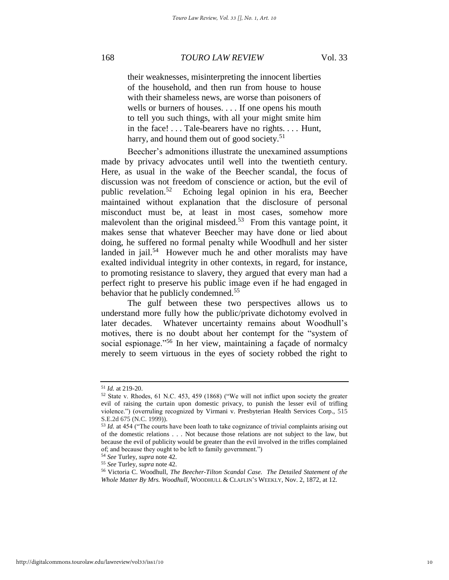their weaknesses, misinterpreting the innocent liberties of the household, and then run from house to house with their shameless news, are worse than poisoners of wells or burners of houses. . . . If one opens his mouth to tell you such things, with all your might smite him in the face! . . . Tale-bearers have no rights. . . . Hunt, harry, and hound them out of good society. $51$ 

Beecher's admonitions illustrate the unexamined assumptions made by privacy advocates until well into the twentieth century. Here, as usual in the wake of the Beecher scandal, the focus of discussion was not freedom of conscience or action, but the evil of public revelation.<sup>52</sup> Echoing legal opinion in his era, Beecher maintained without explanation that the disclosure of personal misconduct must be, at least in most cases, somehow more malevolent than the original misdeed.<sup>53</sup> From this vantage point, it makes sense that whatever Beecher may have done or lied about doing, he suffered no formal penalty while Woodhull and her sister landed in jail.<sup>54</sup> However much he and other moralists may have exalted individual integrity in other contexts, in regard, for instance, to promoting resistance to slavery, they argued that every man had a perfect right to preserve his public image even if he had engaged in behavior that he publicly condemned.<sup>55</sup>

The gulf between these two perspectives allows us to understand more fully how the public/private dichotomy evolved in later decades. Whatever uncertainty remains about Woodhull's motives, there is no doubt about her contempt for the "system of social espionage."<sup>56</sup> In her view, maintaining a façade of normalcy merely to seem virtuous in the eyes of society robbed the right to

<sup>51</sup> *Id.* at 219-20.

<sup>52</sup> State v. Rhodes, 61 N.C. 453, 459 (1868) ("We will not inflict upon society the greater evil of raising the curtain upon domestic privacy, to punish the lesser evil of trifling violence.") (overruling recognized by Virmani v. Presbyterian Health Services Corp., 515 S.E.2d 675 (N.C. 1999)).

<sup>53</sup> *Id.* at 454 ("The courts have been loath to take cognizance of trivial complaints arising out of the domestic relations . . . Not because those relations are not subject to the law, but because the evil of publicity would be greater than the evil involved in the trifles complained of; and because they ought to be left to family government.")

<sup>54</sup> *See* Turley, *supra* note 42.

<sup>55</sup> *See* Turley, *supra* note 42.

<sup>56</sup> Victoria C. Woodhull, *The Beecher-Tilton Scandal Case. The Detailed Statement of the Whole Matter By Mrs. Woodhull*, WOODHULL & CLAFLIN'S WEEKLY, Nov. 2, 1872, at 12.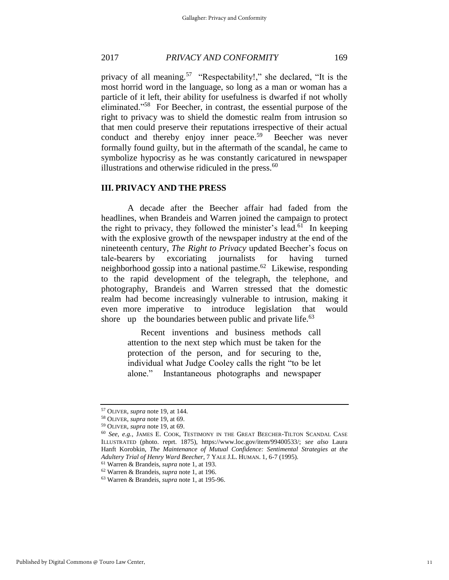privacy of all meaning.<sup>57</sup> "Respectability!," she declared, "It is the most horrid word in the language, so long as a man or woman has a particle of it left, their ability for usefulness is dwarfed if not wholly eliminated."<sup>58</sup> For Beecher, in contrast, the essential purpose of the right to privacy was to shield the domestic realm from intrusion so that men could preserve their reputations irrespective of their actual conduct and thereby enjoy inner peace.<sup>59</sup> Beecher was never formally found guilty, but in the aftermath of the scandal, he came to symbolize hypocrisy as he was constantly caricatured in newspaper illustrations and otherwise ridiculed in the press. $60$ 

### **III. PRIVACY AND THE PRESS**

A decade after the Beecher affair had faded from the headlines, when Brandeis and Warren joined the campaign to protect the right to privacy, they followed the minister's lead.<sup>61</sup> In keeping with the explosive growth of the newspaper industry at the end of the nineteenth century, *The Right to Privacy* updated Beecher's focus on tale-bearers by excoriating journalists for having turned neighborhood gossip into a national pastime.<sup>62</sup> Likewise, responding to the rapid development of the telegraph, the telephone, and photography, Brandeis and Warren stressed that the domestic realm had become increasingly vulnerable to intrusion, making it even more imperative to introduce legislation that would shore up the boundaries between public and private life. $63$ 

> Recent inventions and business methods call attention to the next step which must be taken for the protection of the person, and for securing to the, individual what Judge Cooley calls the right "to be let alone." Instantaneous photographs and newspaper

<sup>57</sup> OLIVER, *supra* note 19, at 144.

<sup>58</sup> OLIVER, *supra* note 19, at 69.

<sup>59</sup> OLIVER, *supra* note 19, at 69.

<sup>60</sup> *See, e.g.*, JAMES E. COOK, TESTIMONY IN THE GREAT BEECHER-TILTON SCANDAL CASE ILLUSTRATED (photo. reprt. 1875), https://www.loc.gov/item/99400533/; *see also* Laura Hanft Korobkin, *The Maintenance of Mutual Confidence: Sentimental Strategies at the Adultery Trial of Henry Ward Beecher*, 7 YALE J.L. HUMAN. 1, 6-7 (1995).

<sup>61</sup> Warren & Brandeis, *supra* note 1, at 193.

<sup>62</sup> Warren & Brandeis, *supra* note 1, at 196.

<sup>63</sup> Warren & Brandeis, *supra* note 1, at 195-96.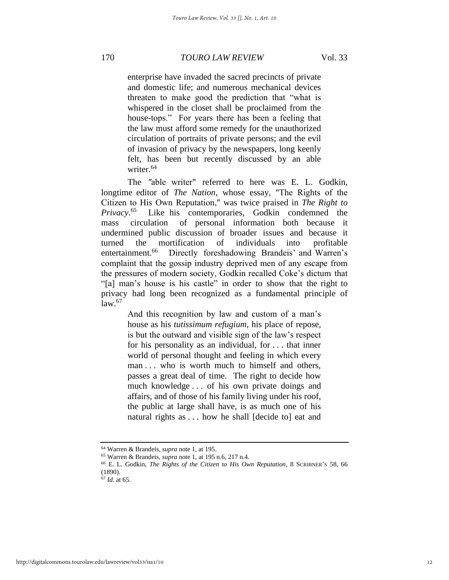enterprise have invaded the sacred precincts of private and domestic life; and numerous mechanical devices threaten to make good the prediction that "what is whispered in the closet shall be proclaimed from the house-tops." For years there has been a feeling that the law must afford some remedy for the unauthorized circulation of portraits of private persons; and the evil of invasion of privacy by the newspapers, long keenly felt, has been but recently discussed by an able writer.<sup>64</sup>

The *"*able writer" referred to here was E. L. Godkin, longtime editor of *The Nation*, whose essay, "The Rights of the Citizen to His Own Reputation," was twice praised in *The Right to Privacy*. 65 Like his contemporaries, Godkin condemned the mass circulation of personal information both because it undermined public discussion of broader issues and because it turned the mortification of individuals into profitable entertainment.<sup>66</sup> Directly foreshadowing Brandeis' and Warren's complaint that the gossip industry deprived men of any escape from the pressures of modern society, Godkin recalled Coke's dictum that "[a] man's house is his castle" in order to show that the right to privacy had long been recognized as a fundamental principle of  $law<sup>.67</sup>$ 

> And this recognition by law and custom of a man's house as his *tutissimum refugium*, his place of repose, is but the outward and visible sign of the law's respect for his personality as an individual, for . . . that inner world of personal thought and feeling in which every man . . . who is worth much to himself and others, passes a great deal of time. The right to decide how much knowledge . . . of his own private doings and affairs, and of those of his family living under his roof, the public at large shall have, is as much one of his natural rights as . . . how he shall [decide to] eat and

<sup>64</sup> Warren & Brandeis, *supra* note 1, at 195.

<sup>65</sup> Warren & Brandeis, *supra* note 1, at 195 n.6, 217 n.4.

<sup>66</sup> E. L. Godkin, *The Rights of the Citizen to His Own Reputation*, 8 SCRIBNER'S 58, 66 (1890).

<sup>67</sup> *Id.* at 65.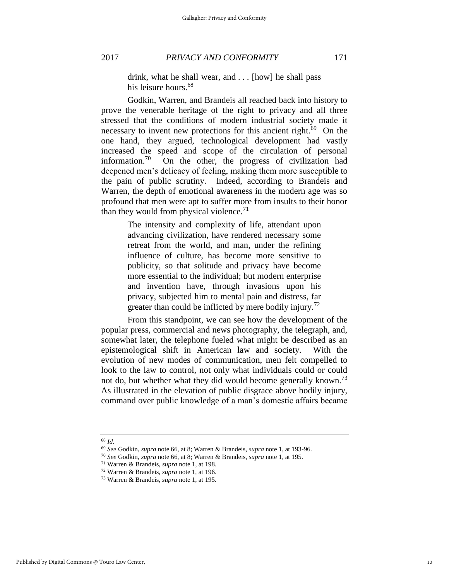drink, what he shall wear, and . . . [how] he shall pass his leisure hours.<sup>68</sup>

Godkin, Warren, and Brandeis all reached back into history to prove the venerable heritage of the right to privacy and all three stressed that the conditions of modern industrial society made it necessary to invent new protections for this ancient right.<sup>69</sup> On the one hand, they argued, technological development had vastly increased the speed and scope of the circulation of personal information.<sup>70</sup> On the other, the progress of civilization had deepened men's delicacy of feeling, making them more susceptible to the pain of public scrutiny. Indeed, according to Brandeis and Warren, the depth of emotional awareness in the modern age was so profound that men were apt to suffer more from insults to their honor than they would from physical violence.<sup>71</sup>

> The intensity and complexity of life, attendant upon advancing civilization, have rendered necessary some retreat from the world, and man, under the refining influence of culture, has become more sensitive to publicity, so that solitude and privacy have become more essential to the individual; but modern enterprise and invention have, through invasions upon his privacy, subjected him to mental pain and distress, far greater than could be inflicted by mere bodily injury.<sup>72</sup>

From this standpoint, we can see how the development of the popular press, commercial and news photography, the telegraph, and, somewhat later, the telephone fueled what might be described as an epistemological shift in American law and society. With the evolution of new modes of communication, men felt compelled to look to the law to control, not only what individuals could or could not do, but whether what they did would become generally known.<sup>73</sup> As illustrated in the elevation of public disgrace above bodily injury, command over public knowledge of a man's domestic affairs became

<sup>68</sup> *Id.*

<sup>69</sup> *See* Godkin, *supra* note 66, at 8; Warren & Brandeis, *supra* note 1, at 193-96.

<sup>70</sup> *See* Godkin, *supra* note 66, at 8; Warren & Brandeis, *supra* note 1, at 195.

<sup>71</sup> Warren & Brandeis, *supra* note 1, at 198.

<sup>72</sup> Warren & Brandeis, *supra* note 1, at 196.

<sup>73</sup> Warren & Brandeis, *supra* note 1, at 195.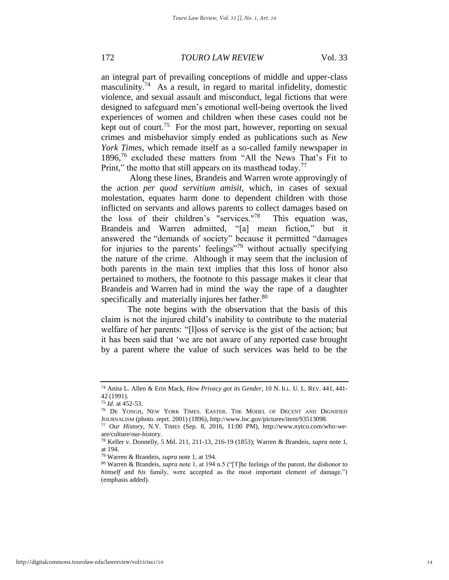an integral part of prevailing conceptions of middle and upper-class masculinity.<sup>74</sup> As a result, in regard to marital infidelity, domestic violence, and sexual assault and misconduct, legal fictions that were designed to safeguard men's emotional well-being overtook the lived experiences of women and children when these cases could not be kept out of court.<sup>75</sup> For the most part, however, reporting on sexual crimes and misbehavior simply ended as publications such as *New York Times*, which remade itself as a so-called family newspaper in 1896,<sup>76</sup> excluded these matters from "All the News That's Fit to Print," the motto that still appears on its masthead today.<sup>77</sup>

 Along these lines, Brandeis and Warren wrote approvingly of the action *per quod servitium amisit,* which, in cases of sexual molestation, equates harm done to dependent children with those inflicted on servants and allows parents to collect damages based on the loss of their children's "services." 78 This equation was, Brandeis and Warren admitted, "[a] mean fiction," but it answered the "demands of society" because it permitted "damages for injuries to the parents' feelings"<sup>79</sup> without actually specifying the nature of the crime. Although it may seem that the inclusion of both parents in the main text implies that this loss of honor also pertained to mothers, the footnote to this passage makes it clear that Brandeis and Warren had in mind the way the rape of a daughter specifically and materially injures her father.<sup>80</sup>

The note begins with the observation that the basis of this claim is not the injured child's inability to contribute to the material welfare of her parents: "[l]oss of service is the gist of the action; but it has been said that 'we are not aware of any reported case brought by a parent where the value of such services was held to be the

<sup>74</sup> Anita L. Allen & Erin Mack, *How Privacy got its Gender*, 10 N. ILL. U. L. REV. 441, 441- 42 (1991).

<sup>75</sup> *Id.* at 452-53.

<sup>76</sup> DE YONGH, NEW YORK TIMES. EASTER. THE MODEL OF DECENT AND DIGNIFIED JOURNALISM (photo. reprt. 2001) (1896), http://www.loc.gov/pictures/item/93513098.

<sup>77</sup> *Our History*, N.Y. TIMES (Sep. 8, 2016, 11:00 PM), http://www.nytco.com/who-weare/culture/our-history.

<sup>78</sup> Keller v. Donnelly, 5 Md. 211, 211-13, 216-19 (1853); Warren & Brandeis, *supra* note 1, at 194.

<sup>79</sup> Warren & Brandeis, *supra* note 1, at 194.

<sup>80</sup> Warren & Brandeis, *supra* note 1, at 194 n.5 ("[T]he feelings of the parent, the dishonor to *himself* and *his* family, were accepted as the most important element of damage.") (emphasis added).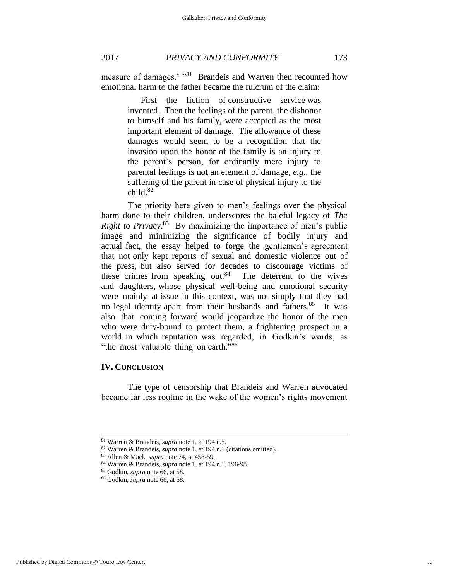measure of damages.' "<sup>81</sup> Brandeis and Warren then recounted how emotional harm to the father became the fulcrum of the claim:

> First the fiction of constructive service was invented. Then the feelings of the parent, the dishonor to himself and his family, were accepted as the most important element of damage. The allowance of these damages would seem to be a recognition that the invasion upon the honor of the family is an injury to the parent's person, for ordinarily mere injury to parental feelings is not an element of damage, *e.g.*, the suffering of the parent in case of physical injury to the  $child.<sup>82</sup>$

The priority here given to men's feelings over the physical harm done to their children, underscores the baleful legacy of *The Right to Privacy*. 83 By maximizing the importance of men's public image and minimizing the significance of bodily injury and actual fact, the essay helped to forge the gentlemen's agreement that not only kept reports of sexual and domestic violence out of the press, but also served for decades to discourage victims of these crimes from speaking out.<sup>84</sup> The deterrent to the wives and daughters, whose physical well-being and emotional security were mainly at issue in this context, was not simply that they had no legal identity apart from their husbands and fathers.<sup>85</sup> It was also that coming forward would jeopardize the honor of the men who were duty-bound to protect them, a frightening prospect in a world in which reputation was regarded, in Godkin's words, as "the most valuable thing on earth."<sup>86</sup>

# **IV. CONCLUSION**

The type of censorship that Brandeis and Warren advocated became far less routine in the wake of the women's rights movement

<sup>81</sup> Warren & Brandeis, *supra* note 1, at 194 n.5.

<sup>82</sup> Warren & Brandeis, *supra* note 1, at 194 n.5 (citations omitted).

<sup>83</sup> Allen & Mack, *supra* note 74, at 458-59.

<sup>84</sup> Warren & Brandeis, *supra* note 1, at 194 n.5, 196-98.

<sup>85</sup> Godkin, *supra* note 66, at 58.

<sup>86</sup> Godkin, *supra* note 66, at 58.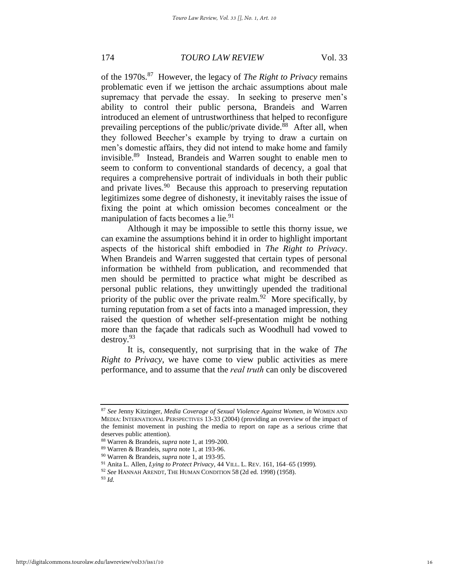of the 1970s.<sup>87</sup> However, the legacy of *The Right to Privacy* remains problematic even if we jettison the archaic assumptions about male supremacy that pervade the essay. In seeking to preserve men's ability to control their public persona, Brandeis and Warren introduced an element of untrustworthiness that helped to reconfigure prevailing perceptions of the public/private divide.<sup>88</sup> After all, when they followed Beecher's example by trying to draw a curtain on men's domestic affairs, they did not intend to make home and family invisible.<sup>89</sup> Instead, Brandeis and Warren sought to enable men to seem to conform to conventional standards of decency, a goal that requires a comprehensive portrait of individuals in both their public and private lives.<sup>90</sup> Because this approach to preserving reputation legitimizes some degree of dishonesty, it inevitably raises the issue of fixing the point at which omission becomes concealment or the manipulation of facts becomes a lie.<sup>91</sup>

Although it may be impossible to settle this thorny issue, we can examine the assumptions behind it in order to highlight important aspects of the historical shift embodied in *The Right to Privacy*. When Brandeis and Warren suggested that certain types of personal information be withheld from publication, and recommended that men should be permitted to practice what might be described as personal public relations, they unwittingly upended the traditional priority of the public over the private realm.<sup>92</sup> More specifically, by turning reputation from a set of facts into a managed impression, they raised the question of whether self-presentation might be nothing more than the façade that radicals such as Woodhull had vowed to destroy.<sup>93</sup>

It is, consequently, not surprising that in the wake of *The Right to Privacy*, we have come to view public activities as mere performance, and to assume that the *real truth* can only be discovered

<sup>87</sup> *See* Jenny Kitzinger, *Media Coverage of Sexual Violence Against Women*, *in* WOMEN AND MEDIA: INTERNATIONAL PERSPECTIVES 13-33 (2004) (providing an overview of the impact of the feminist movement in pushing the media to report on rape as a serious crime that deserves public attention).

<sup>88</sup> Warren & Brandeis, *supra* note 1, at 199-200.

<sup>89</sup> Warren & Brandeis, *supra* note 1, at 193-96.

<sup>90</sup> Warren & Brandeis, *supra* note 1, at 193-95.

<sup>91</sup> Anita L. Allen, *Lying to Protect Privacy*, 44 VILL. L. REV. 161, 164–65 (1999).

<sup>92</sup> *See* HANNAH ARENDT, THE HUMAN CONDITION 58 (2d ed. 1998) (1958).

<sup>93</sup> *Id.*